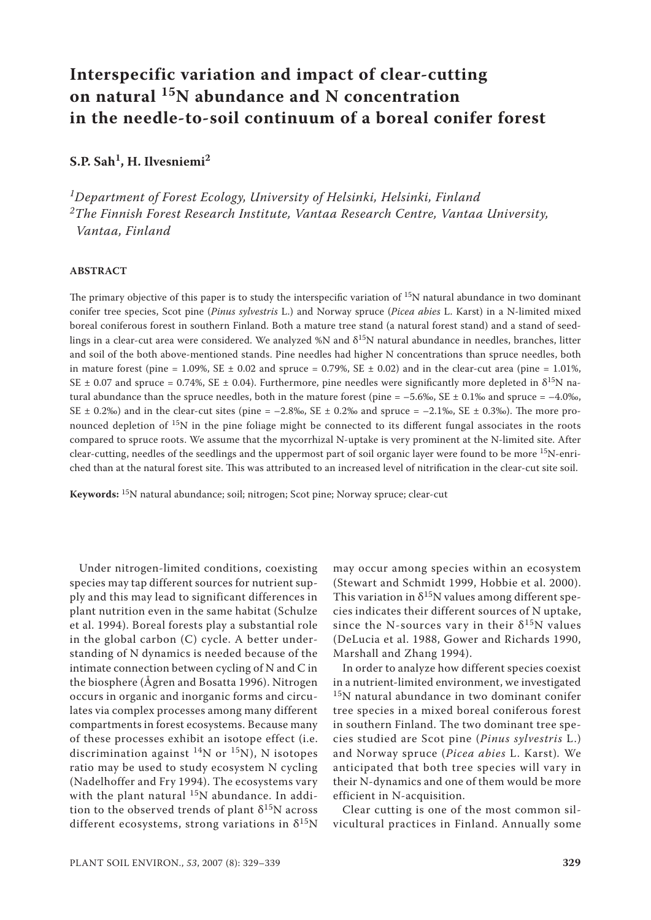# **Interspecific variation and impact of clear-cutting on natural 15N abundance and N concentration in the needle-to-soil continuum of a boreal conifer forest**

# **S.P. Sah1, H. Ilvesniemi2**

*1Department of Forest Ecology, University of Helsinki, Helsinki, Finland 2The Finnish Forest Research Institute, Vantaa Research Centre, Vantaa University, Vantaa, Finland*

### **ABSTRACT**

The primary objective of this paper is to study the interspecific variation of <sup>15</sup>N natural abundance in two dominant conifer tree species, Scot pine (*Pinus sylvestris* L.) and Norway spruce (*Picea abies* L. Karst) in a N-limited mixed boreal coniferous forest in southern Finland. Both a mature tree stand (a natural forest stand) and a stand of seedlings in a clear-cut area were considered. We analyzed %N and  $\delta^{15}N$  natural abundance in needles, branches, litter and soil of the both above-mentioned stands. Pine needles had higher N concentrations than spruce needles, both in mature forest (pine = 1.09%, SE  $\pm$  0.02 and spruce = 0.79%, SE  $\pm$  0.02) and in the clear-cut area (pine = 1.01%,  $SE \pm 0.07$  and spruce = 0.74%,  $SE \pm 0.04$ ). Furthermore, pine needles were significantly more depleted in  $\delta^{15}N$  natural abundance than the spruce needles, both in the mature forest (pine =  $-5.6\%$ , SE  $\pm$  0.1% and spruce =  $-4.0\%$ , SE  $\pm$  0.2‰) and in the clear-cut sites (pine = –2.8‰, SE  $\pm$  0.2‰ and spruce = –2.1‰, SE  $\pm$  0.3‰). The more pronounced depletion of <sup>15</sup>N in the pine foliage might be connected to its different fungal associates in the roots compared to spruce roots. We assume that the mycorrhizal N-uptake is very prominent at the N-limited site. After clear-cutting, needles of the seedlings and the uppermost part of soil organic layer were found to be more 15N-enriched than at the natural forest site. This was attributed to an increased level of nitrification in the clear-cut site soil.

**Keywords:** 15N natural abundance; soil; nitrogen; Scot pine; Norway spruce; clear-cut

Under nitrogen-limited conditions, coexisting species may tap different sources for nutrient supply and this may lead to significant differences in plant nutrition even in the same habitat (Schulze et al. 1994). Boreal forests play a substantial role in the global carbon (C) cycle. A better understanding of N dynamics is needed because of the intimate connection between cycling of N and C in the biosphere (Ågren and Bosatta 1996). Nitrogen occurs in organic and inorganic forms and circulates via complex processes among many different compartments in forest ecosystems. Because many of these processes exhibit an isotope effect (i.e. discrimination against  $^{14}N$  or  $^{15}N$ ), N isotopes ratio may be used to study ecosystem N cycling (Nadelhoffer and Fry 1994). The ecosystems vary with the plant natural  $^{15}N$  abundance. In addition to the observed trends of plant  $\delta^{15}N$  across different ecosystems, strong variations in  $\delta^{15}N$ 

may occur among species within an ecosystem (Stewart and Schmidt 1999, Hobbie et al. 2000). This variation in  $\delta^{15}N$  values among different species indicates their different sources of N uptake, since the N-sources vary in their  $\delta^{15}$ N values (DeLucia et al. 1988, Gower and Richards 1990, Marshall and Zhang 1994).

In order to analyze how different species coexist in a nutrient-limited environment, we investigated 15N natural abundance in two dominant conifer tree species in a mixed boreal coniferous forest in southern Finland. The two dominant tree species studied are Scot pine (*Pinus sylvestris* L.) and Norway spruce (*Picea abies* L. Karst)*.* We anticipated that both tree species will vary in their N-dynamics and one of them would be more efficient in N-acquisition.

Clear cutting is one of the most common silvicultural practices in Finland. Annually some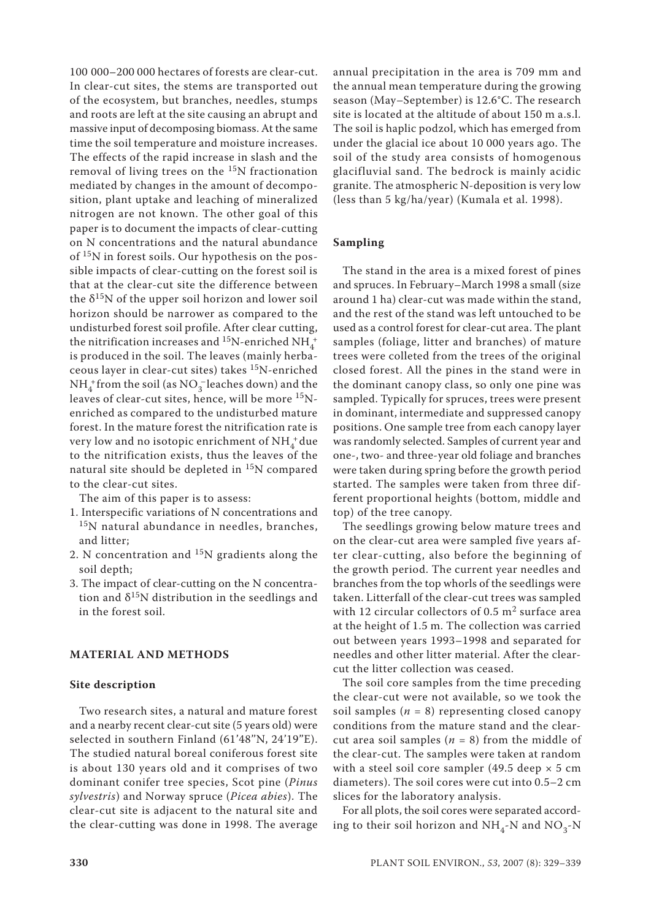100 000–200 000 hectares of forests are clear-cut. In clear-cut sites, the stems are transported out of the ecosystem, but branches, needles, stumps and roots are left at the site causing an abrupt and massive input of decomposing biomass. At the same time the soil temperature and moisture increases. The effects of the rapid increase in slash and the removal of living trees on the <sup>15</sup>N fractionation mediated by changes in the amount of decomposition, plant uptake and leaching of mineralized nitrogen are not known. The other goal of this paper is to document the impacts of clear-cutting on N concentrations and the natural abundance of 15N in forest soils. Our hypothesis on the possible impacts of clear-cutting on the forest soil is that at the clear-cut site the difference between the  $\delta^{15}$ N of the upper soil horizon and lower soil horizon should be narrower as compared to the undisturbed forest soil profile. After clear cutting, the nitrification increases and <sup>15</sup>N-enriched NH<sub>4</sub><sup>+</sup> is produced in the soil. The leaves (mainly herbaceous layer in clear-cut sites) takes 15N-enriched  $NH_4^+$  from the soil (as  $NO_3^-$  leaches down) and the leaves of clear-cut sites, hence, will be more <sup>15</sup>Nenriched as compared to the undisturbed mature forest. In the mature forest the nitrification rate is very low and no isotopic enrichment of  $NH_4^+$ due to the nitrification exists, thus the leaves of the natural site should be depleted in  $^{15}N$  compared to the clear-cut sites.

The aim of this paper is to assess:

- 1. Interspecific variations of N concentrations and 15N natural abundance in needles, branches, and litter;
- 2. N concentration and  $15N$  gradients along the soil depth;
- 3. The impact of clear-cutting on the N concentration and  $\delta^{15}N$  distribution in the seedlings and in the forest soil.

## **MATERIAL AND METHODS**

#### **Site description**

Two research sites, a natural and mature forest and a nearby recent clear-cut site (5 years old) were selected in southern Finland (61'48"N, 24'19"E). The studied natural boreal coniferous forest site is about 130 years old and it comprises of two dominant conifer tree species, Scot pine (*Pinus sylvestris*) and Norway spruce (*Picea abies*). The clear-cut site is adjacent to the natural site and the clear-cutting was done in 1998. The average

annual precipitation in the area is 709 mm and the annual mean temperature during the growing season (May–September) is 12.6°C. The research site is located at the altitude of about 150 m a.s.l. The soil is haplic podzol, which has emerged from under the glacial ice about 10 000 years ago. The soil of the study area consists of homogenous glacifluvial sand. The bedrock is mainly acidic granite. The atmospheric N-deposition is very low (less than 5 kg/ha/year) (Kumala et al. 1998).

### **Sampling**

The stand in the area is a mixed forest of pines and spruces. In February–March 1998 a small (size around 1 ha) clear-cut was made within the stand, and the rest of the stand was left untouched to be used as a control forest for clear-cut area. The plant samples (foliage, litter and branches) of mature trees were colleted from the trees of the original closed forest. All the pines in the stand were in the dominant canopy class, so only one pine was sampled. Typically for spruces, trees were present in dominant, intermediate and suppressed canopy positions. One sample tree from each canopy layer was randomly selected. Samples of current year and one-, two- and three-year old foliage and branches were taken during spring before the growth period started. The samples were taken from three different proportional heights (bottom, middle and top) of the tree canopy.

The seedlings growing below mature trees and on the clear-cut area were sampled five years after clear-cutting, also before the beginning of the growth period. The current year needles and branches from the top whorls of the seedlings were taken. Litterfall of the clear-cut trees was sampled with 12 circular collectors of  $0.5$  m<sup>2</sup> surface area at the height of 1.5 m. The collection was carried out between years 1993–1998 and separated for needles and other litter material. After the clearcut the litter collection was ceased.

The soil core samples from the time preceding the clear-cut were not available, so we took the soil samples  $(n = 8)$  representing closed canopy conditions from the mature stand and the clearcut area soil samples ( $n = 8$ ) from the middle of the clear-cut. The samples were taken at random with a steel soil core sampler (49.5 deep  $\times$  5 cm diameters). The soil cores were cut into 0.5–2 cm slices for the laboratory analysis.

For all plots, the soil cores were separated according to their soil horizon and  $NH_4\text{-}N$  and  $NO_3\text{-}N$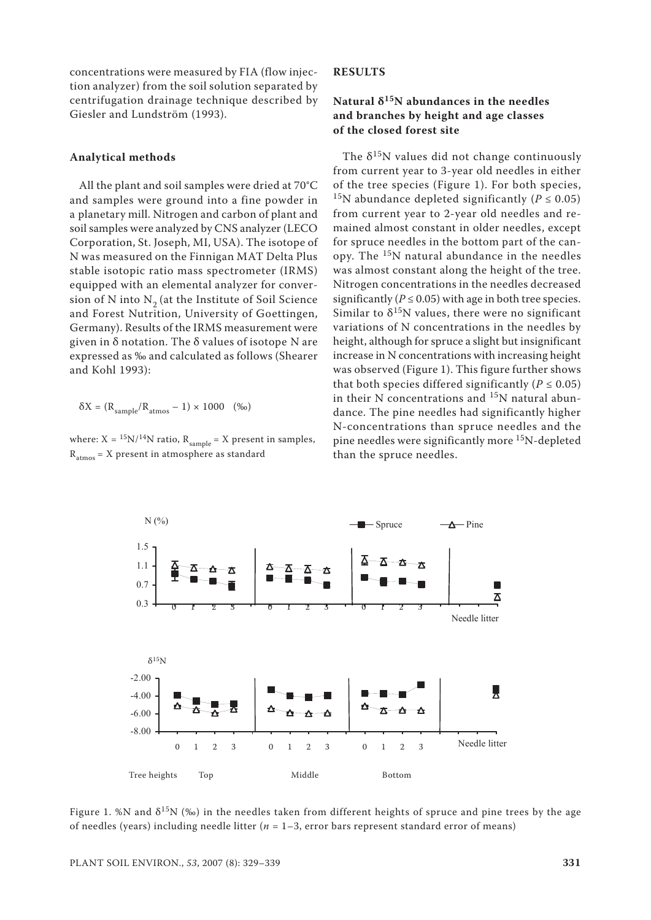concentrations were measured by FIA (flow injection analyzer) from the soil solution separated by centrifugation drainage technique described by Giesler and Lundström (1993).

### **Analytical methods**

All the plant and soil samples were dried at 70°C and samples were ground into a fine powder in a planetary mill. Nitrogen and carbon of plant and soil samples were analyzed by CNS analyzer (LECO Corporation, St. Joseph, MI, USA). The isotope of N was measured on the Finnigan MAT Delta Plus stable isotopic ratio mass spectrometer (IRMS) equipped with an elemental analyzer for conversion of N into  $N<sub>2</sub>$  (at the Institute of Soil Science and Forest Nutrition, University of Goettingen, Germany). Results of the IRMS measurement were given in  $\delta$  notation. The  $\delta$  values of isotope N are expressed as ‰ and calculated as follows (Shearer and Kohl 1993):

$$
\delta X = (R_{sample}/R_{atmos} - 1) \times 1000 \quad (\%)
$$

where:  $X = {}^{15}{\rm N} / {}^{14}{\rm N}$  ratio,  ${\rm R}_{\rm sample} = X$  present in samples,  $R_{atmos}$  = X present in atmosphere as standard

#### **RESULTS**

## **Natural δ15N abundances in the needles and branches by height and age classes of the closed forest site**

The  $\delta^{15}N$  values did not change continuously from current year to 3-year old needles in either of the tree species (Figure 1). For both species, <sup>15</sup>N abundance depleted significantly ( $P \le 0.05$ ) from current year to 2-year old needles and remained almost constant in older needles, except for spruce needles in the bottom part of the canopy. The 15N natural abundance in the needles was almost constant along the height of the tree. Nitrogen concentrations in the needles decreased significantly ( $P \le 0.05$ ) with age in both tree species. Similar to  $\delta^{15}$ N values, there were no significant variations of N concentrations in the needles by height, although for spruce a slight but insignificant increase in N concentrations with increasing height was observed (Figure 1). This figure further shows that both species differed significantly ( $P \le 0.05$ ) in their N concentrations and  $15N$  natural abundance. The pine needles had significantly higher N-concentrations than spruce needles and the pine needles were significantly more 15N-depleted than the spruce needles.



Figure 1. %N and  $\delta^{15}N$  (%) in the needles taken from different heights of spruce and pine trees by the age of needles (years) including needle litter (*n* = 1–3, error bars represent standard error of means)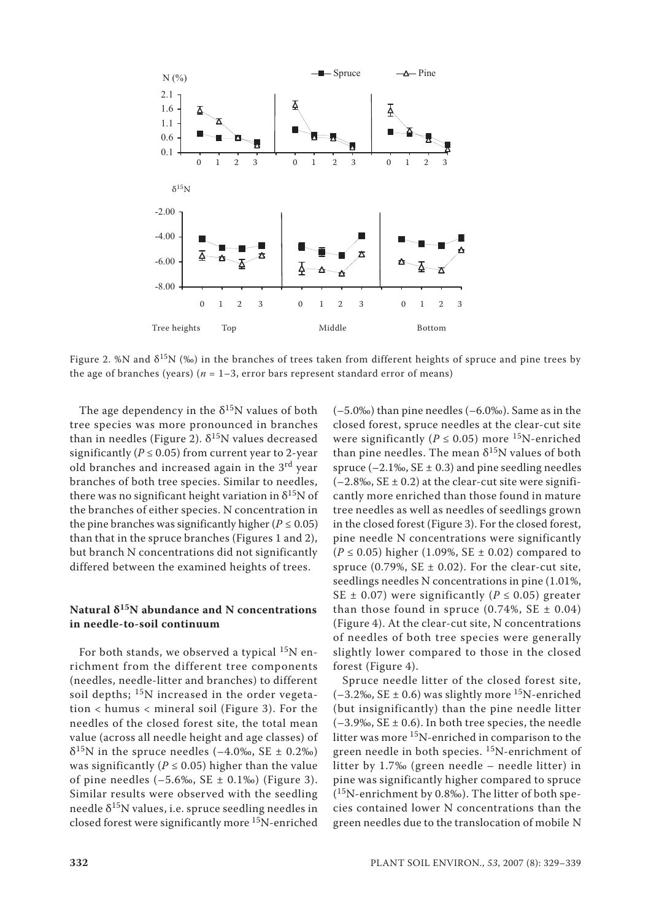

Figure 2. %N and  $\delta^{15}N$  (‰) in the branches of trees taken from different heights of spruce and pine trees by the age of branches (years) ( $n = 1-3$ , error bars represent standard error of means)

The age dependency in the  $\delta^{15}N$  values of both tree species was more pronounced in branches than in needles (Figure 2).  $\delta^{15}$ N values decreased significantly ( $P \le 0.05$ ) from current year to 2-year old branches and increased again in the 3rd year branches of both tree species. Similar to needles, there was no significant height variation in  $\delta^{15}N$  of the branches of either species. N concentration in the pine branches was significantly higher ( $P \le 0.05$ ) than that in the spruce branches (Figures 1 and 2), but branch N concentrations did not significantly differed between the examined heights of trees.

# **Natural δ15N abundance and N concentrations in needle-to-soil continuum**

For both stands, we observed a typical  $^{15}N$  enrichment from the different tree components (needles, needle-litter and branches) to different soil depths; <sup>15</sup>N increased in the order vegetation < humus < mineral soil (Figure 3). For the needles of the closed forest site, the total mean value (across all needle height and age classes) of  $\delta^{15}$ N in the spruce needles (–4.0‰, SE ± 0.2‰) was significantly ( $P \le 0.05$ ) higher than the value of pine needles  $(-5.6\%)$ , SE  $\pm$  0.1‰) (Figure 3). Similar results were observed with the seedling needle  $\delta^{15}$ N values, i.e. spruce seedling needles in closed forest were significantly more 15N-enriched

(–5.0‰) than pine needles (–6.0‰). Same as in the closed forest, spruce needles at the clear-cut site were significantly ( $P \le 0.05$ ) more <sup>15</sup>N-enriched than pine needles. The mean  $\delta^{15}N$  values of both spruce  $(-2.1\%$ , SE  $\pm$  0.3) and pine seedling needles  $(-2.8\%, \text{SE} \pm 0.2)$  at the clear-cut site were significantly more enriched than those found in mature tree needles as well as needles of seedlings grown in the closed forest (Figure 3). For the closed forest, pine needle N concentrations were significantly (*P* ≤ 0.05) higher (1.09%, SE ± 0.02) compared to spruce (0.79%, SE  $\pm$  0.02). For the clear-cut site, seedlings needles N concentrations in pine (1.01%, SE  $\pm$  0.07) were significantly ( $P \le 0.05$ ) greater than those found in spruce  $(0.74\% , SE \pm 0.04)$ (Figure 4). At the clear-cut site, N concentrations of needles of both tree species were generally slightly lower compared to those in the closed forest (Figure 4).

Spruce needle litter of the closed forest site,  $(-3.2\%$ , SE ± 0.6) was slightly more <sup>15</sup>N-enriched (but insignificantly) than the pine needle litter  $(-3.9\%$ , SE  $\pm$  0.6). In both tree species, the needle litter was more 15N-enriched in comparison to the green needle in both species. 15N-enrichment of litter by 1.7‰ (green needle – needle litter) in pine was significantly higher compared to spruce  $(15N$ -enrichment by 0.8‰). The litter of both species contained lower N concentrations than the green needles due to the translocation of mobile N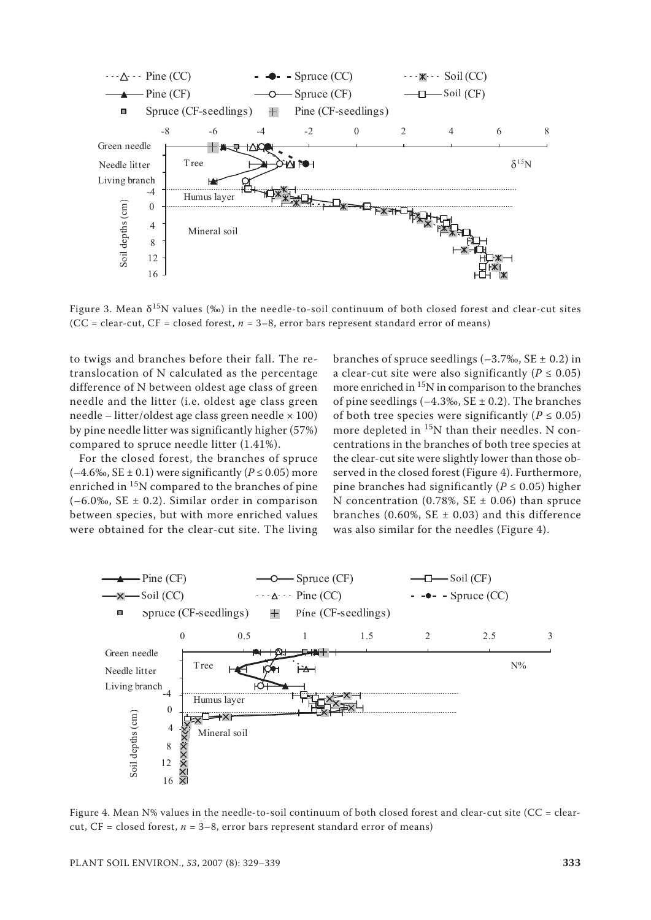

Figure 3. Mean  $\delta^{15}N$  values (‰) in the needle-to-soil continuum of both closed forest and clear-cut sites (CC = clear-cut, CF = closed forest,  $n = 3-8$ , error bars represent standard error of means)

to twigs and branches before their fall. The retranslocation of N calculated as the percentage difference of N between oldest age class of green needle and the litter (i.e. oldest age class green needle – litter/oldest age class green needle  $\times$  100) by pine needle litter was significantly higher (57%) compared to spruce needle litter (1.41%).

For the closed forest, the branches of spruce  $(-4.6\%$ <sub>0</sub>, SE  $\pm$  0.1) were significantly ( $P \le 0.05$ ) more enriched in 15N compared to the branches of pine ( $-6.0\%$ , SE  $\pm$  0.2). Similar order in comparison between species, but with more enriched values were obtained for the clear-cut site. The living

branches of spruce seedlings  $(-3.7\%$ , SE  $\pm$  0.2) in a clear-cut site were also significantly ( $P \le 0.05$ ) more enriched in  $^{15}N$  in comparison to the branches of pine seedlings  $(-4.3\%, SE \pm 0.2)$ . The branches of both tree species were significantly ( $P \le 0.05$ ) more depleted in  $^{15}N$  than their needles. N concentrations in the branches of both tree species at the clear-cut site were slightly lower than those observed in the closed forest (Figure 4). Furthermore, pine branches had significantly ( $P \le 0.05$ ) higher N concentration (0.78%, SE  $\pm$  0.06) than spruce branches (0.60%, SE  $\pm$  0.03) and this difference was also similar for the needles (Figure 4).



Figure 4. Mean N% values in the needle-to-soil continuum of both closed forest and clear-cut site (CC = clearcut,  $CF = closed$  forest,  $n = 3-8$ , error bars represent standard error of means)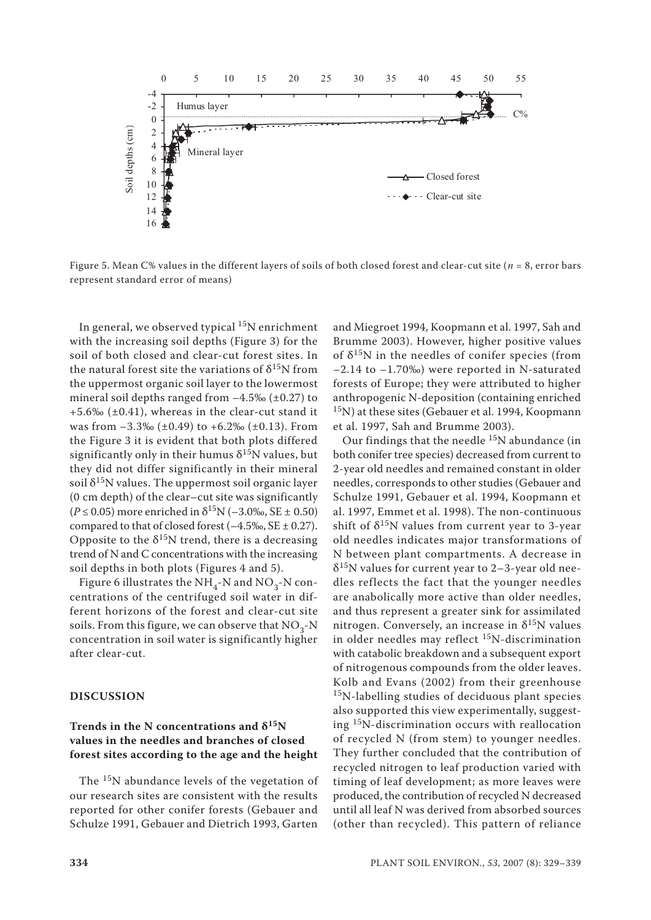

Figure 5. Mean C% values in the different layers of soils of both closed forest and clear-cut site (*n* = 8, error bars represent standard error of means)

In general, we observed typical 15N enrichment with the increasing soil depths (Figure 3) for the soil of both closed and clear-cut forest sites. In the natural forest site the variations of  $\delta^{15}N$  from the uppermost organic soil layer to the lowermost mineral soil depths ranged from  $-4.5\%$  ( $\pm 0.27$ ) to +5.6‰ (±0.41), whereas in the clear-cut stand it was from  $-3.3\%$  ( $\pm 0.49$ ) to  $+6.2\%$  ( $\pm 0.13$ ). From the Figure 3 it is evident that both plots differed significantly only in their humus  $\delta^{15}N$  values, but they did not differ significantly in their mineral soil  $\delta^{15}N$  values. The uppermost soil organic layer (0 cm depth) of the clear–cut site was significantly  $(P \le 0.05)$  more enriched in  $\delta^{15}N$  (-3.0‰, SE ± 0.50) compared to that of closed forest  $(-4.5\%, \text{SE} \pm 0.27)$ . Opposite to the  $\delta^{15}N$  trend, there is a decreasing trend of N and C concentrations with the increasing soil depths in both plots (Figures 4 and 5).

Figure 6 illustrates the NH<sub>4</sub>-N and NO<sub>3</sub>-N concentrations of the centrifuged soil water in different horizons of the forest and clear-cut site soils. From this figure, we can observe that  $NO<sub>2</sub>$ -N concentration in soil water is significantly higher after clear-cut.

### **DISCUSSION**

# **Trends in the N concentrations and δ15N values in the needles and branches of closed forest sites according to the age and the height**

The <sup>15</sup>N abundance levels of the vegetation of our research sites are consistent with the results reported for other conifer forests (Gebauer and Schulze 1991, Gebauer and Dietrich 1993, Garten

and Miegroet 1994, Koopmann et al. 1997, Sah and Brumme 2003). However, higher positive values of  $\delta^{15}$ N in the needles of conifer species (from –2.14 to –1.70‰) were reported in N-saturated forests of Europe; they were attributed to higher anthropogenic N-deposition (containing enriched <sup>15</sup>N) at these sites (Gebauer et al. 1994, Koopmann et al. 1997, Sah and Brumme 2003).

Our findings that the needle  $15N$  abundance (in both conifer tree species) decreased from current to 2-year old needles and remained constant in older needles, corresponds to other studies (Gebauer and Schulze 1991, Gebauer et al. 1994, Koopmann et al. 1997, Emmet et al. 1998). The non-continuous shift of  $\delta^{15}N$  values from current year to 3-year old needles indicates major transformations of N between plant compartments. A decrease in  $\delta^{15}$ N values for current year to 2–3-year old needles reflects the fact that the younger needles are anabolically more active than older needles, and thus represent a greater sink for assimilated nitrogen. Conversely, an increase in  $\delta^{15}N$  values in older needles may reflect 15N-discrimination with catabolic breakdown and a subsequent export of nitrogenous compounds from the older leaves. Kolb and Evans (2002) from their greenhouse  $15N$ -labelling studies of deciduous plant species also supported this view experimentally, suggesting 15N-discrimination occurs with reallocation of recycled N (from stem) to younger needles. They further concluded that the contribution of recycled nitrogen to leaf production varied with timing of leaf development; as more leaves were produced, the contribution of recycled N decreased until all leaf N was derived from absorbed sources (other than recycled). This pattern of reliance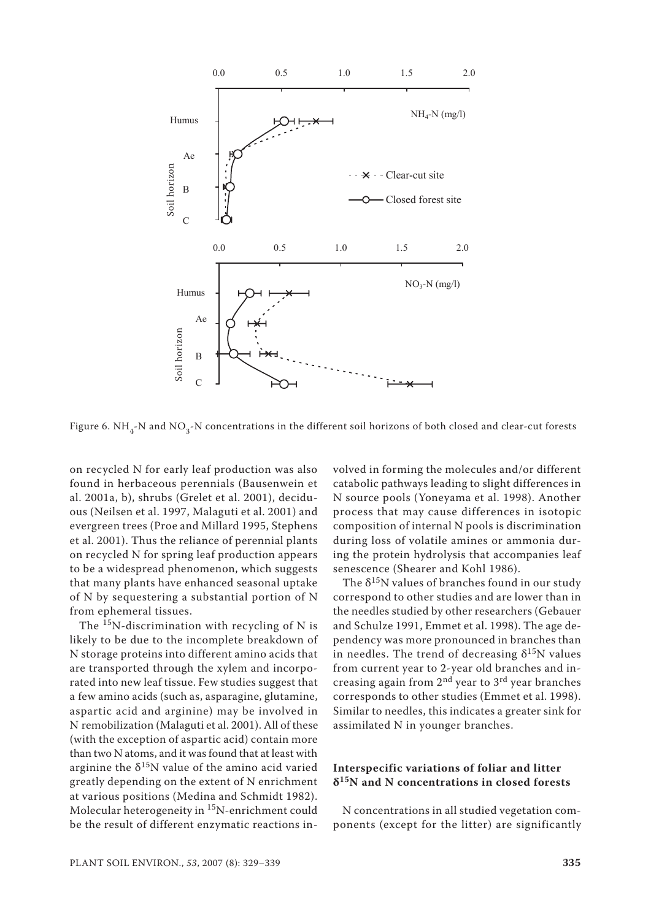

Figure 6. NH<sub>4</sub>-N and NO<sub>3</sub>-N concentrations in the different soil horizons of both closed and clear-cut forests

on recycled N for early leaf production was also found in herbaceous perennials (Bausenwein et al. 2001a, b), shrubs (Grelet et al. 2001), deciduous (Neilsen et al. 1997, Malaguti et al. 2001) and evergreen trees (Proe and Millard 1995, Stephens et al. 2001). Thus the reliance of perennial plants on recycled N for spring leaf production appears to be a widespread phenomenon, which suggests that many plants have enhanced seasonal uptake of N by sequestering a substantial portion of N from ephemeral tissues.

The  $15N$ -discrimination with recycling of N is likely to be due to the incomplete breakdown of N storage proteins into different amino acids that are transported through the xylem and incorporated into new leaf tissue. Few studies suggest that a few amino acids (such as, asparagine, glutamine, aspartic acid and arginine) may be involved in N remobilization (Malaguti et al. 2001). All of these (with the exception of aspartic acid) contain more than two N atoms, and it was found that at least with arginine the  $\delta^{15}N$  value of the amino acid varied greatly depending on the extent of N enrichment at various positions (Medina and Schmidt 1982). Molecular heterogeneity in 15N-enrichment could be the result of different enzymatic reactions involved in forming the molecules and/or different catabolic pathways leading to slight differences in N source pools (Yoneyama et al. 1998). Another process that may cause differences in isotopic composition of internal N pools is discrimination during loss of volatile amines or ammonia during the protein hydrolysis that accompanies leaf senescence (Shearer and Kohl 1986).

The  $\delta^{15}N$  values of branches found in our study correspond to other studies and are lower than in the needles studied by other researchers (Gebauer and Schulze 1991, Emmet et al. 1998). The age dependency was more pronounced in branches than in needles. The trend of decreasing  $\delta^{15}N$  values from current year to 2-year old branches and increasing again from 2nd year to 3rd year branches corresponds to other studies (Emmet et al. 1998). Similar to needles, this indicates a greater sink for assimilated N in younger branches.

### **Interspecific variations of foliar and litter δ15N and N concentrations in closed forests**

N concentrations in all studied vegetation components (except for the litter) are significantly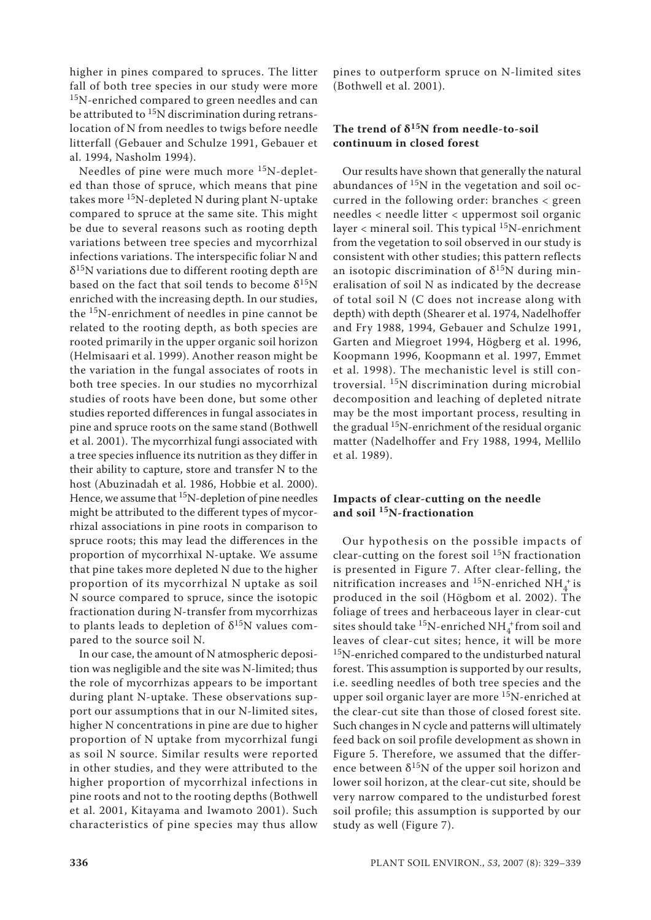higher in pines compared to spruces. The litter fall of both tree species in our study were more 15N-enriched compared to green needles and can be attributed to  $^{15}N$  discrimination during retranslocation of N from needles to twigs before needle litterfall (Gebauer and Schulze 1991, Gebauer et al. 1994, Nasholm 1994).

Needles of pine were much more 15N-depleted than those of spruce, which means that pine takes more  $^{15}N$ -depleted N during plant N-uptake compared to spruce at the same site. This might be due to several reasons such as rooting depth variations between tree species and mycorrhizal infections variations. The interspecific foliar N and  $\delta^{15}$ N variations due to different rooting depth are based on the fact that soil tends to become  $\delta^{15}N$ enriched with the increasing depth. In our studies, the 15N-enrichment of needles in pine cannot be related to the rooting depth, as both species are rooted primarily in the upper organic soil horizon (Helmisaari et al. 1999). Another reason might be the variation in the fungal associates of roots in both tree species. In our studies no mycorrhizal studies of roots have been done, but some other studies reported differences in fungal associates in pine and spruce roots on the same stand (Bothwell et al. 2001). The mycorrhizal fungi associated with a tree species influence its nutrition as they differ in their ability to capture, store and transfer N to the host (Abuzinadah et al. 1986, Hobbie et al. 2000). Hence, we assume that <sup>15</sup>N-depletion of pine needles might be attributed to the different types of mycorrhizal associations in pine roots in comparison to spruce roots; this may lead the differences in the proportion of mycorrhixal N-uptake. We assume that pine takes more depleted N due to the higher proportion of its mycorrhizal N uptake as soil N source compared to spruce, since the isotopic fractionation during N-transfer from mycorrhizas to plants leads to depletion of  $\delta^{15}N$  values compared to the source soil N.

In our case, the amount of N atmospheric deposition was negligible and the site was N-limited; thus the role of mycorrhizas appears to be important during plant N-uptake. These observations support our assumptions that in our N-limited sites, higher N concentrations in pine are due to higher proportion of N uptake from mycorrhizal fungi as soil N source. Similar results were reported in other studies, and they were attributed to the higher proportion of mycorrhizal infections in pine roots and not to the rooting depths (Bothwell et al. 2001, Kitayama and Iwamoto 2001). Such characteristics of pine species may thus allow pines to outperform spruce on N-limited sites (Bothwell et al. 2001).

# **The trend of δ15N from needle-to-soil continuum in closed forest**

Our results have shown that generally the natural abundances of  $^{15}N$  in the vegetation and soil occurred in the following order: branches < green needles < needle litter < uppermost soil organic layer < mineral soil. This typical <sup>15</sup>N-enrichment from the vegetation to soil observed in our study is consistent with other studies; this pattern reflects an isotopic discrimination of  $\delta^{15}N$  during mineralisation of soil N as indicated by the decrease of total soil N (C does not increase along with depth) with depth (Shearer et al. 1974, Nadelhoffer and Fry 1988, 1994, Gebauer and Schulze 1991, Garten and Miegroet 1994, Högberg et al. 1996, Koopmann 1996, Koopmann et al. 1997, Emmet et al. 1998). The mechanistic level is still controversial. 15N discrimination during microbial decomposition and leaching of depleted nitrate may be the most important process, resulting in the gradual 15N-enrichment of the residual organic matter (Nadelhoffer and Fry 1988, 1994, Mellilo et al. 1989).

### **Impacts of clear-cutting on the needle and soil 15N-fractionation**

Our hypothesis on the possible impacts of clear-cutting on the forest soil <sup>15</sup>N fractionation is presented in Figure 7. After clear-felling, the nitrification increases and <sup>15</sup>N-enriched NH<sub>4</sub><sup>+</sup> is produced in the soil (Högbom et al. 2002). The foliage of trees and herbaceous layer in clear-cut sites should take <sup>15</sup>N-enriched NH<sub>4</sub><sup>+</sup> from soil and leaves of clear-cut sites; hence, it will be more 15N-enriched compared to the undisturbed natural forest. This assumption is supported by our results, i.e. seedling needles of both tree species and the upper soil organic layer are more <sup>15</sup>N-enriched at the clear-cut site than those of closed forest site. Such changes in N cycle and patterns will ultimately feed back on soil profile development as shown in Figure 5. Therefore, we assumed that the difference between  $\delta^{15}N$  of the upper soil horizon and lower soil horizon, at the clear-cut site, should be very narrow compared to the undisturbed forest soil profile; this assumption is supported by our study as well (Figure 7).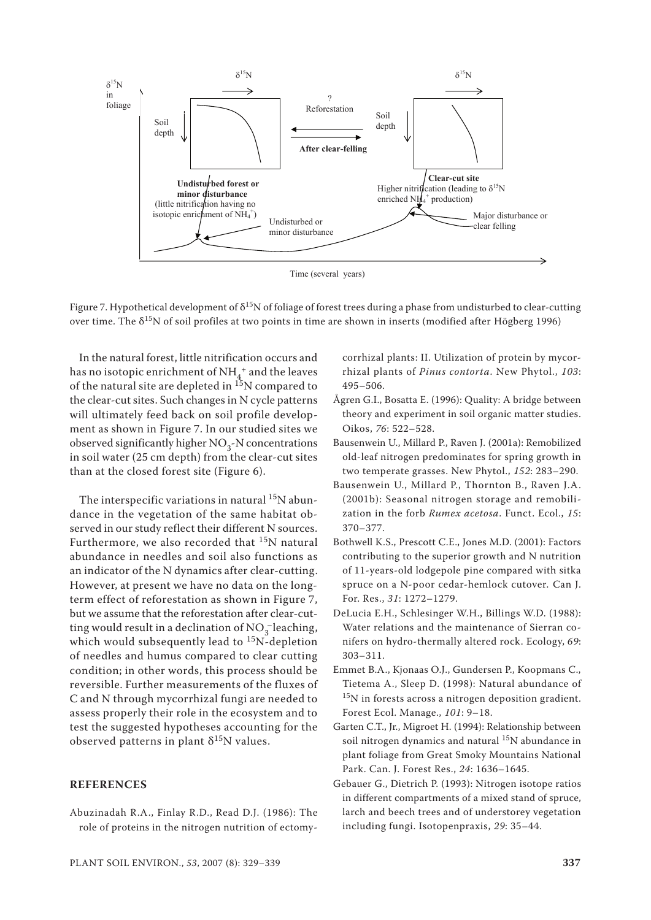

Figure 7. Hypothetical development of  $\delta^{15}N$  of foliage of forest trees during a phase from undisturbed to clear-cutting over time. The  $\delta^{15}N$  of soil profiles at two points in time are shown in inserts (modified after Högberg 1996)

In the natural forest, little nitrification occurs and has no isotopic enrichment of  $NH_4^+$  and the leaves of the natural site are depleted in  $15N$  compared to the clear-cut sites. Such changes in N cycle patterns will ultimately feed back on soil profile development as shown in Figure 7. In our studied sites we observed significantly higher  $NO<sub>3</sub>$ -N concentrations in soil water (25 cm depth) from the clear-cut sites than at the closed forest site (Figure 6).

The interspecific variations in natural  $^{15}N$  abundance in the vegetation of the same habitat observed in our study reflect their different N sources. Furthermore, we also recorded that  $^{15}N$  natural abundance in needles and soil also functions as an indicator of the N dynamics after clear-cutting. However, at present we have no data on the longterm effect of reforestation as shown in Figure 7, but we assume that the reforestation after clear-cutting would result in a declination of  $NO<sub>3</sub><sup>-</sup>$  leaching, which would subsequently lead to  $15N$ -depletion of needles and humus compared to clear cutting condition; in other words, this process should be reversible. Further measurements of the fluxes of C and N through mycorrhizal fungi are needed to assess properly their role in the ecosystem and to test the suggested hypotheses accounting for the observed patterns in plant  $\delta^{15}N$  values.

### **REFERENCES**

Abuzinadah R.A., Finlay R.D., Read D.J. (1986): The role of proteins in the nitrogen nutrition of ectomycorrhizal plants: II. Utilization of protein by mycorrhizal plants of *Pinus contorta*. New Phytol., *103*: 495–506.

- Ågren G.I., Bosatta E. (1996): Quality: A bridge between theory and experiment in soil organic matter studies. Oikos, *76*: 522–528.
- Bausenwein U., Millard P., Raven J. (2001a): Remobilized old-leaf nitrogen predominates for spring growth in two temperate grasses. New Phytol., *152*: 283–290.
- Bausenwein U., Millard P., Thornton B., Raven J.A. (2001b): Seasonal nitrogen storage and remobilization in the forb *Rumex acetosa*. Funct. Ecol., *15*: 370–377.
- Bothwell K.S., Prescott C.E., Jones M.D. (2001): Factors contributing to the superior growth and N nutrition of 11-years-old lodgepole pine compared with sitka spruce on a N-poor cedar-hemlock cutover*.* Can J. For. Res., *31*: 1272–1279.
- DeLucia E.H., Schlesinger W.H., Billings W.D. (1988): Water relations and the maintenance of Sierran conifers on hydro-thermally altered rock. Ecology, *69*: 303–311.
- Emmet B.A., Kjonaas O.J., Gundersen P., Koopmans C., Tietema A., Sleep D. (1998): Natural abundance of <sup>15</sup>N in forests across a nitrogen deposition gradient. Forest Ecol. Manage., *101*: 9–18.
- Garten C.T., Jr., Migroet H. (1994): Relationship between soil nitrogen dynamics and natural <sup>15</sup>N abundance in plant foliage from Great Smoky Mountains National Park. Can. J. Forest Res., *24*: 1636–1645.
- Gebauer G., Dietrich P. (1993): Nitrogen isotope ratios in different compartments of a mixed stand of spruce, larch and beech trees and of understorey vegetation including fungi. Isotopenpraxis, *29*: 35–44.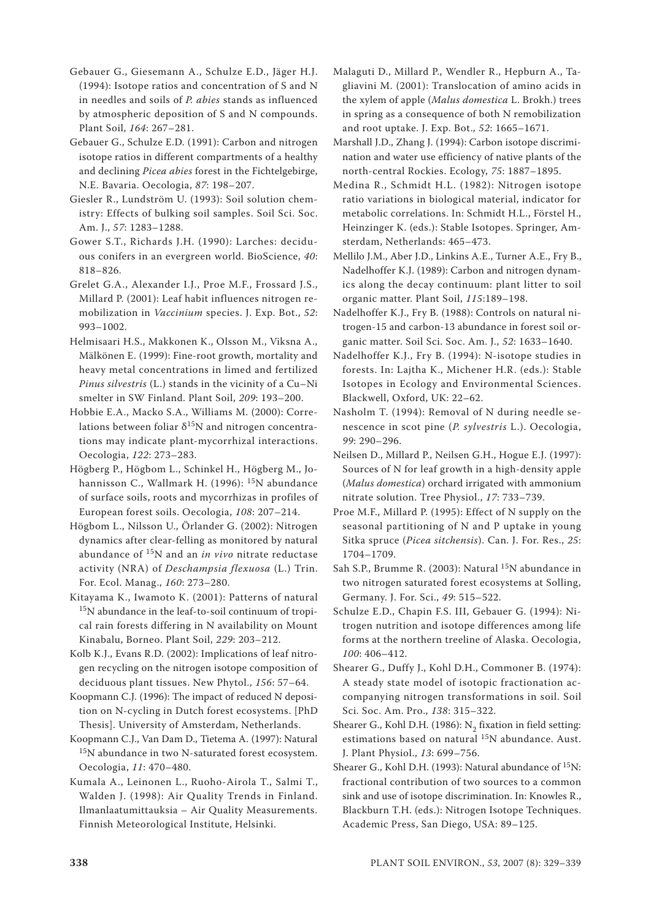Gebauer G., Giesemann A., Schulze E.D., Jäger H.J. (1994): Isotope ratios and concentration of S and N in needles and soils of *P. abies* stands as influenced by atmospheric deposition of S and N compounds. Plant Soil, *164*: 267–281.

Gebauer G., Schulze E.D. (1991): Carbon and nitrogen isotope ratios in different compartments of a healthy and declining *Picea abies* forest in the Fichtelgebirge, N.E. Bavaria. Oecologia, *87*: 198–207.

Giesler R., Lundström U. (1993): Soil solution chemistry: Effects of bulking soil samples. Soil Sci. Soc. Am. J., *57*: 1283–1288.

Gower S.T., Richards J.H. (1990): Larches: deciduous conifers in an evergreen world. BioScience, *40*: 818–826.

Grelet G.A., Alexander I.J., Proe M.F., Frossard J.S., Millard P. (2001): Leaf habit influences nitrogen remobilization in *Vaccinium* species. J. Exp. Bot., *52*: 993–1002.

Helmisaari H.S., Makkonen K., Olsson M., Viksna A., Mälkönen E. (1999): Fine-root growth, mortality and heavy metal concentrations in limed and fertilized *Pinus silvestris* (L.) stands in the vicinity of a Cu–Ni smelter in SW Finland. Plant Soil, *209*: 193–200.

Hobbie E.A., Macko S.A., Williams M. (2000): Correlations between foliar  $\delta^{15}N$  and nitrogen concentrations may indicate plant-mycorrhizal interactions. Oecologia, *122*: 273–283.

Högberg P., Högbom L., Schinkel H., Högberg M., Johannisson C., Wallmark H. (1996): <sup>15</sup>N abundance of surface soils, roots and mycorrhizas in profiles of European forest soils. Oecologia, *108*: 207–214.

Högbom L., Nilsson U., Örlander G. (2002): Nitrogen dynamics after clear-felling as monitored by natural abundance of 15N and an *in vivo* nitrate reductase activity (NRA) of *Deschampsia flexuosa* (L.) Trin. For. Ecol. Manag., *160*: 273–280.

Kitayama K., Iwamoto K. (2001): Patterns of natural 15N abundance in the leaf-to-soil continuum of tropical rain forests differing in N availability on Mount Kinabalu, Borneo. Plant Soil, *229*: 203–212.

Kolb K.J., Evans R.D. (2002): Implications of leaf nitrogen recycling on the nitrogen isotope composition of deciduous plant tissues. New Phytol., *156*: 57–64.

Koopmann C.J. (1996): The impact of reduced N deposition on N-cycling in Dutch forest ecosystems. [PhD Thesis]. University of Amsterdam, Netherlands.

Koopmann C.J., Van Dam D., Tietema A. (1997): Natural 15N abundance in two N-saturated forest ecosystem. Oecologia, *11*: 470–480.

Kumala A., Leinonen L., Ruoho-Airola T., Salmi T., Walden J. (1998): Air Quality Trends in Finland. Ilmanlaatumittauksia – Air Quality Measurements. Finnish Meteorological Institute, Helsinki.

Malaguti D., Millard P., Wendler R., Hepburn A., Tagliavini M. (2001): Translocation of amino acids in the xylem of apple (*Malus domestica* L. Brokh.) trees in spring as a consequence of both N remobilization and root uptake. J. Exp. Bot.*, 52*: 1665–1671.

Marshall J.D., Zhang J. (1994): Carbon isotope discrimination and water use efficiency of native plants of the north-central Rockies. Ecology, *75*: 1887–1895.

Medina R., Schmidt H.L. (1982): Nitrogen isotope ratio variations in biological material, indicator for metabolic correlations. In: Schmidt H.L., Förstel H., Heinzinger K. (eds.): Stable Isotopes. Springer, Amsterdam, Netherlands: 465–473.

Mellilo J.M., Aber J.D., Linkins A.E., Turner A.E., Fry B., Nadelhoffer K.J. (1989): Carbon and nitrogen dynamics along the decay continuum: plant litter to soil organic matter. Plant Soil, *115*:189–198.

Nadelhoffer K.J., Fry B. (1988): Controls on natural nitrogen-15 and carbon-13 abundance in forest soil organic matter. Soil Sci. Soc. Am. J., *52*: 1633–1640.

Nadelhoffer K.J., Fry B. (1994): N-isotope studies in forests. In: Lajtha K., Michener H.R. (eds.): Stable Isotopes in Ecology and Environmental Sciences. Blackwell, Oxford, UK: 22–62.

Nasholm T. (1994): Removal of N during needle senescence in scot pine (*P. sylvestris* L.). Oecologia, *99*: 290–296.

Neilsen D., Millard P., Neilsen G.H., Hogue E.J. (1997): Sources of N for leaf growth in a high-density apple (*Malus domestica*) orchard irrigated with ammonium nitrate solution. Tree Physiol., *17*: 733–739.

Proe M.F., Millard P. (1995): Effect of N supply on the seasonal partitioning of N and P uptake in young Sitka spruce (*Picea sitchensis*). Can. J. For. Res., *25*: 1704–1709.

Sah S.P., Brumme R. (2003): Natural <sup>15</sup>N abundance in two nitrogen saturated forest ecosystems at Solling, Germany. J. For. Sci., *49*: 515–522.

Schulze E.D., Chapin F.S. III, Gebauer G. (1994): Nitrogen nutrition and isotope differences among life forms at the northern treeline of Alaska. Oecologia, *100*: 406–412.

Shearer G., Duffy J., Kohl D.H., Commoner B. (1974): A steady state model of isotopic fractionation accompanying nitrogen transformations in soil. Soil Sci. Soc. Am. Pro., *138*: 315–322.

Shearer G., Kohl D.H. (1986): N<sub>2</sub> fixation in field setting: estimations based on natural  $15N$  abundance. Aust. J. Plant Physiol., *13*: 699–756.

Shearer G., Kohl D.H. (1993): Natural abundance of <sup>15</sup>N: fractional contribution of two sources to a common sink and use of isotope discrimination. In: Knowles R., Blackburn T.H. (eds.): Nitrogen Isotope Techniques. Academic Press, San Diego, USA: 89–125.

**338** PLANT SOIL ENVIRON., *53*, 2007 (8): 329–339